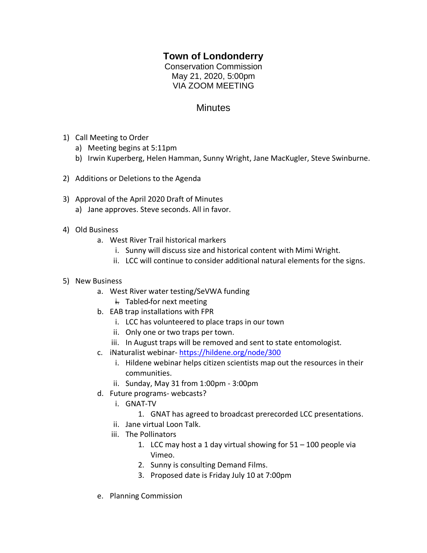## **Town of Londonderry**

Conservation Commission May 21, 2020, 5:00pm VIA ZOOM MEETING

## **Minutes**

- 1) Call Meeting to Order
	- a) Meeting begins at 5:11pm
	- b) Irwin Kuperberg, Helen Hamman, Sunny Wright, Jane MacKugler, Steve Swinburne.
- 2) Additions or Deletions to the Agenda
- 3) Approval of the April 2020 Draft of Minutes
	- a) Jane approves. Steve seconds. All in favor.
- 4) Old Business
	- a. West River Trail historical markers
		- i. Sunny will discuss size and historical content with Mimi Wright.
		- ii. LCC will continue to consider additional natural elements for the signs.
- 5) New Business
	- a. West River water testing/SeVWA funding
		- $\frac{1}{2}$ . Tabled-for next meeting
	- b. EAB trap installations with FPR
		- i. LCC has volunteered to place traps in our town
		- ii. Only one or two traps per town.
		- iii. In August traps will be removed and sent to state entomologist.
	- c. iNaturalist webinar- <https://hildene.org/node/300>
		- i. Hildene webinar helps citizen scientists map out the resources in their communities.
		- ii. Sunday, May 31 from 1:00pm 3:00pm
	- d. Future programs- webcasts?
		- i. GNAT-TV
			- 1. GNAT has agreed to broadcast prerecorded LCC presentations.
		- ii. Jane virtual Loon Talk.
		- iii. The Pollinators
			- 1. LCC may host a 1 day virtual showing for  $51 100$  people via Vimeo.
			- 2. Sunny is consulting Demand Films.
			- 3. Proposed date is Friday July 10 at 7:00pm
	- e. Planning Commission